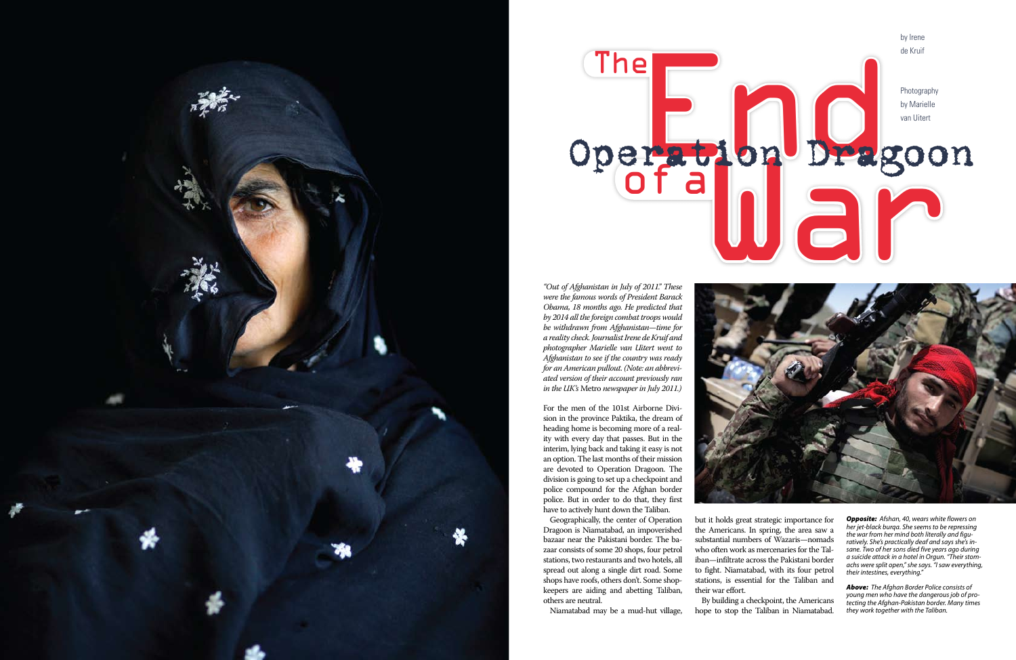*were the famous words of President Barack Obama, 18 months ago. He predicted that by 2014 all the foreign combat troops would be withdrawn from Afghanistan—time for a reality check. Journalist Irene de Kruif and photographer Marielle van Uitert went to Afghanistan to see if the country was ready for an American pullout. (Note: an abbreviated version of their account previously ran in the UK's* Metro *newspaper in July 2011.)*

For the men of the 101st Airborne Division in the province Paktika, the dream of heading home is becoming more of a reality with every day that passes. But in the interim, lying back and taking it easy is not an option. The last months of their mission are devoted to Operation Dragoon. The division is going to set up a checkpoint and police compound for the Afghan border police. But in order to do that, they first have to actively hunt down the Taliban.

Geographically, the center of Operation Dragoon is Niamatabad, an impoverished bazaar near the Pakistani border. The bazaar consists of some 20 shops, four petrol stations, two restaurants and two hotels, all spread out along a single dirt road. Some shops have roofs, others don't. Some shopkeepers are aiding and abetting Taliban, others are neutral.





Niamatabad may be a mud-hut village,



but it holds great strategic importance for the Americans. In spring, the area saw a substantial numbers of Wazaris—nomads who often work as mercenaries for the Taliban—infiltrate across the Pakistani border to fight. Niamatabad, with its four petrol stations, is essential for the Taliban and their war effort.

By building a checkpoint, the Americans hope to stop the Taliban in Niamatabad.

*Opposite: Afshan, 40, wears white flowers on her jet-black burqa. She seems to be repressing the war from her mind both literally and figuratively. She's practically deaf and says she's insane. Two of her sons died five years ago during a suicide attack in a hotel in Orgun. "Their stomachs were split open," she says. "I saw everything, their intestines, everything."* 

*Above: The Afghan Border Police consists of young men who have the dangerous job of protecting the Afghan-Pakistan border. Many times they work together with the Taliban.*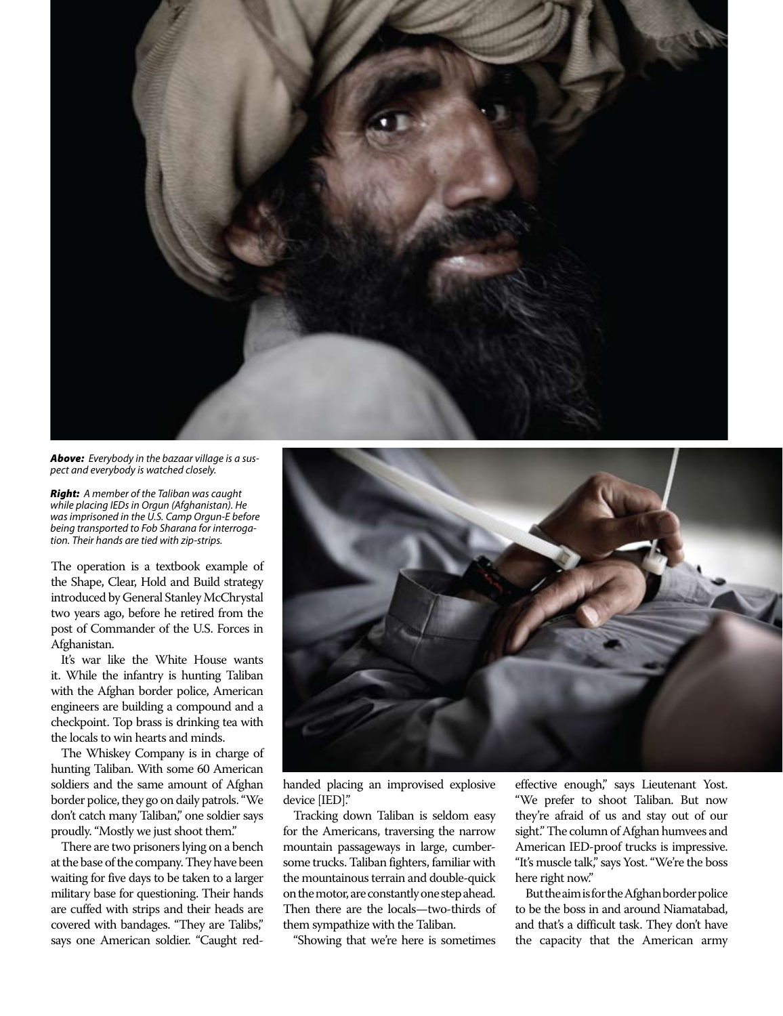

*Above: Everybody in the bazaar village is a suspect and everybody is watched closely.*

*Right: A member of the Taliban was caught while placing IEDs in Orgun (Afghanistan). He was imprisoned in the U.S. Camp Orgun-E before being transported to Fob Sharana for interrogation. Their hands are tied with zip-strips.*

The operation is a textbook example of the Shape, Clear, Hold and Build strategy introduced by General Stanley McChrystal two years ago, before he retired from the post of Commander of the U.S. Forces in Afghanistan.

It's war like the White House wants it. While the infantry is hunting Taliban with the Afghan border police, American engineers are building a compound and a checkpoint. Top brass is drinking tea with the locals to win hearts and minds.

The Whiskey Company is in charge of hunting Taliban. With some 60 American soldiers and the same amount of Afghan border police, they go on daily patrols. "We don't catch many Taliban," one soldier says proudly. "Mostly we just shoot them."

There are two prisoners lying on a bench at the base of the company. They have been waiting for five days to be taken to a larger military base for questioning. Their hands are cuffed with strips and their heads are covered with bandages. "They are Talibs," says one American soldier. "Caught red-



handed placing an improvised explosive device [IED]."

Tracking down Taliban is seldom easy for the Americans, traversing the narrow mountain passageways in large, cumbersome trucks. Taliban fighters, familiar with the mountainous terrain and double-quick on the motor, are constantly one step ahead. Then there are the locals—two-thirds of them sympathize with the Taliban.

"Showing that we're here is sometimes

effective enough," says Lieutenant Yost. "We prefer to shoot Taliban. But now they're afraid of us and stay out of our sight." The column of Afghan humvees and American IED-proof trucks is impressive. "It's muscle talk," says Yost. "We're the boss here right now."

But the aim is for the Afghan border police to be the boss in and around Niamatabad, and that's a difficult task. They don't have the capacity that the American army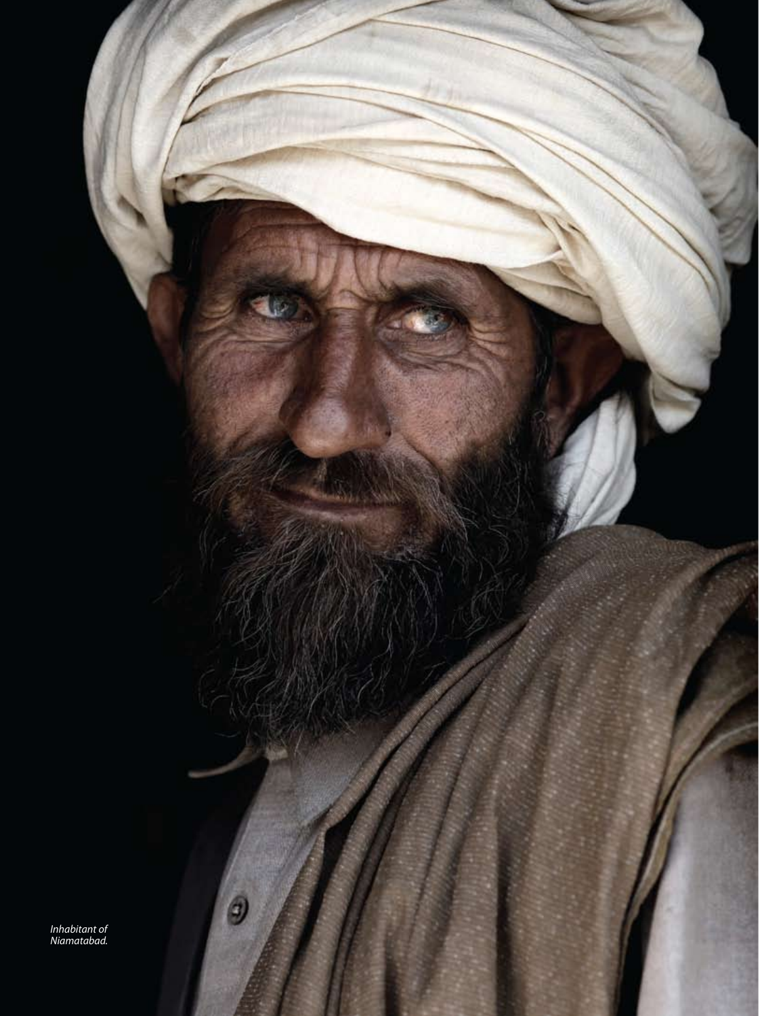

**SP** 

 $\boldsymbol{\theta}$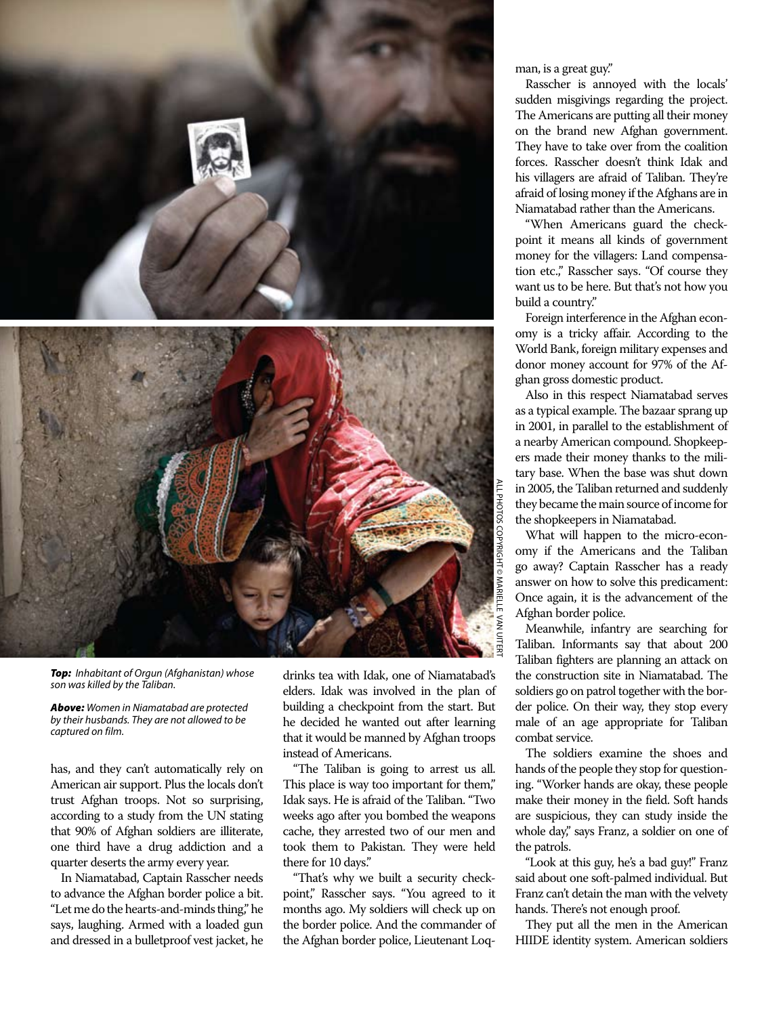

*Top: Inhabitant of Orgun (Afghanistan) whose son was killed by the Taliban.*

*Above: Women in Niamatabad are protected by their husbands. They are not allowed to be captured on film.*

has, and they can't automatically rely on American air support. Plus the locals don't trust Afghan troops. Not so surprising, according to a study from the UN stating that 90% of Afghan soldiers are illiterate, one third have a drug addiction and a quarter deserts the army every year.

In Niamatabad, Captain Rasscher needs to advance the Afghan border police a bit. "Let me do the hearts-and-minds thing," he says, laughing. Armed with a loaded gun and dressed in a bulletproof vest jacket, he

drinks tea with Idak, one of Niamatabad's elders. Idak was involved in the plan of building a checkpoint from the start. But he decided he wanted out after learning that it would be manned by Afghan troops instead of Americans.

"The Taliban is going to arrest us all. This place is way too important for them," Idak says. He is afraid of the Taliban. "Two weeks ago after you bombed the weapons cache, they arrested two of our men and took them to Pakistan. They were held there for 10 days."

"That's why we built a security checkpoint," Rasscher says. "You agreed to it months ago. My soldiers will check up on the border police. And the commander of the Afghan border police, Lieutenant Loqman, is a great guy."

Rasscher is annoyed with the locals' sudden misgivings regarding the project. The Americans are putting all their money on the brand new Afghan government. They have to take over from the coalition forces. Rasscher doesn't think Idak and his villagers are afraid of Taliban. They're afraid of losing money if the Afghans are in Niamatabad rather than the Americans.

"When Americans guard the checkpoint it means all kinds of government money for the villagers: Land compensation etc.," Rasscher says. "Of course they want us to be here. But that's not how you build a country."

Foreign interference in the Afghan economy is a tricky affair. According to the World Bank, foreign military expenses and donor money account for 97% of the Afghan gross domestic product.

Also in this respect Niamatabad serves as a typical example. The bazaar sprang up in 2001, in parallel to the establishment of a nearby American compound. Shopkeepers made their money thanks to the military base. When the base was shut down in 2005, the Taliban returned and suddenly they became the main source of income for the shopkeepers in Niamatabad.

What will happen to the micro-economy if the Americans and the Taliban go away? Captain Rasscher has a ready answer on how to solve this predicament: Once again, it is the advancement of the Afghan border police.

Meanwhile, infantry are searching for Taliban. Informants say that about 200 Taliban fighters are planning an attack on the construction site in Niamatabad. The soldiers go on patrol together with the border police. On their way, they stop every male of an age appropriate for Taliban combat service.

The soldiers examine the shoes and hands of the people they stop for questioning. "Worker hands are okay, these people make their money in the field. Soft hands are suspicious, they can study inside the whole day," says Franz, a soldier on one of the patrols.

"Look at this guy, he's a bad guy!" Franz said about one soft-palmed individual. But Franz can't detain the man with the velvety hands. There's not enough proof.

They put all the men in the American HIIDE identity system. American soldiers